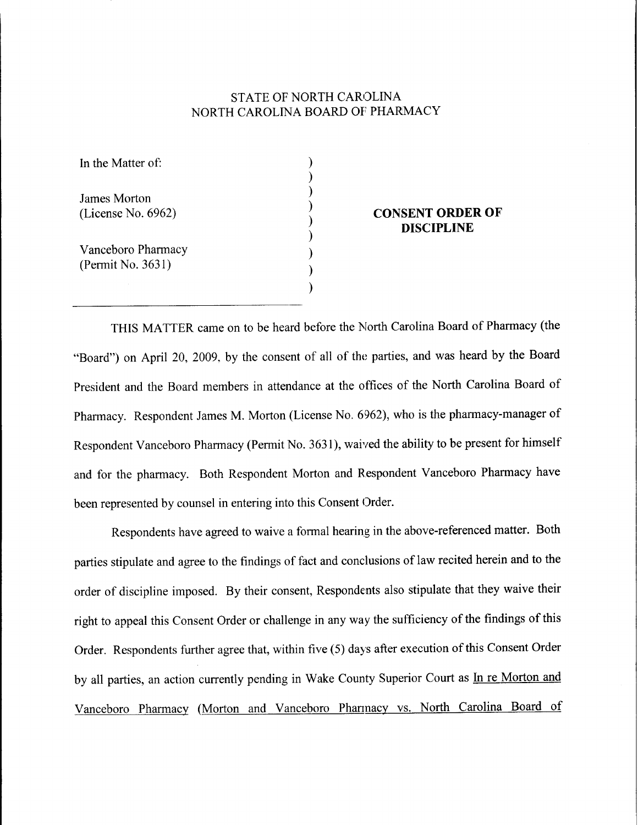# STATE OF NORTH CAROLINA NORTH CAROLINA BOARD OF PHARMACY

) ) ) ) ) ) ) ) )

In the Matter of:

James Morton (License No. 6962)

Vanceboro Pharmacy (Permit No. 3631)

#### **CONSENT ORDER OF DISCIPLINE**

THIS MATTER came on to be heard before the North Carolina Board of Pharmacy (the "Board") on April 20, 2009, by the consent of all of the parties, and was heard by the Board President and the Board members in attendance at the offices of the North Carolina Board of Pharmacy. Respondent James M. Morton (License No. 6962), who is the pharmacy-manager of Respondent Vanceboro Pharmacy (Permit No. 3631), waived the ability to be present for himself and for the pharmacy. Both Respondent Morton and Respondent Vanceboro Pharmacy have been represented by counsel in entering into this Consent Order.

Respondents have agreed to waive a formal hearing in the above-referenced matter. Both parties stipulate and agree to the findings of fact and conclusions of law recited herein and to the order of discipline imposed. By their consent, Respondents also stipulate that they waive their right to appeal this Consent Order or challenge in any way the sufficiency of the findings of this Order. Respondents further agree that, within five (5) days after execution of this Consent Order by all parties, an action currently pending in Wake County Superior Court as In re Morton and Vanceboro Pharmacy (Morton and Vanceboro Phannacy vs. North Carolina Board of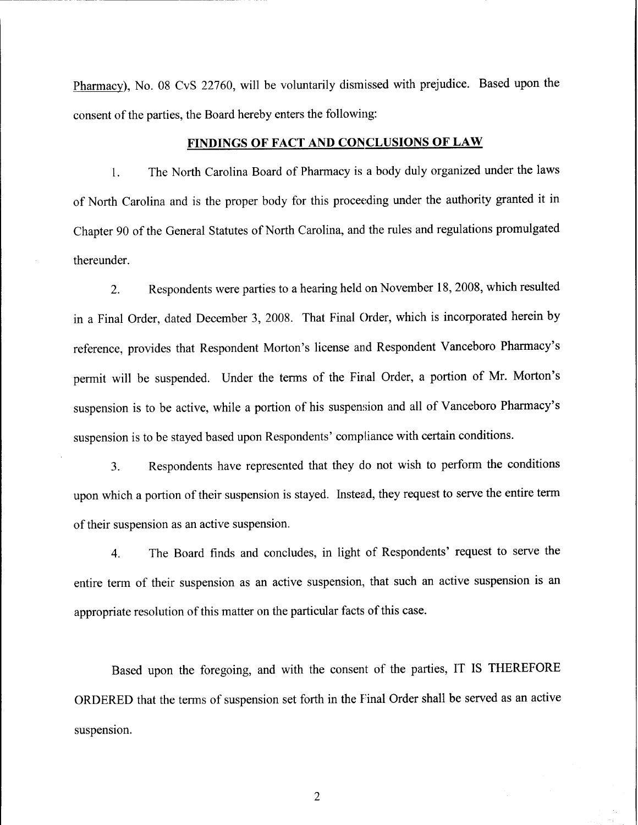Pharmacy), No. 08 CvS 22760, will be voluntarily dismissed with prejudice. Based upon the consent of the parties, the Board hereby enters the following:

### **FINDINGS OF FACT AND CONCLUSIONS OF LAW**

1. The North Carolina Board of Pharmacy is a body duly organized under the laws of North Carolina and is the proper body for this proceeding under the authority granted it in Chapter 90 of the General Statutes of North Carolina, and the rules and regulations promulgated thereunder.

2. Respondents were parties to a hearing held on November 18, 2008, which resulted in a Final Order, dated December 3, 2008. That Final Order, which is incorporated herein by reference, provides that Respondent Morton's license and Respondent Vanceboro Pharmacy's permit will be suspended. Under the terms of the Final Order, a portion of Mr. Morton's suspension is to be active, while a portion of his suspension and all of Vanceboro Pharmacy's suspension is to be stayed based upon Respondents' compliance with certain conditions.

3. Respondents have represented that they do not wish to perform the conditions upon which a portion of their suspension is stayed. Instead, they request to serve the entire term of their suspension as an active suspension.

4. The Board finds and concludes, in light of Respondents' request to serve the entire term of their suspension as an active suspension, that such an active suspension is an appropriate resolution of this matter on the particular facts of this case.

Based upon the foregoing, and with the consent of the parties, IT IS THEREFORE ORDERED that the terms of suspension set forth in the Final Order shall be served as an active suspension.

2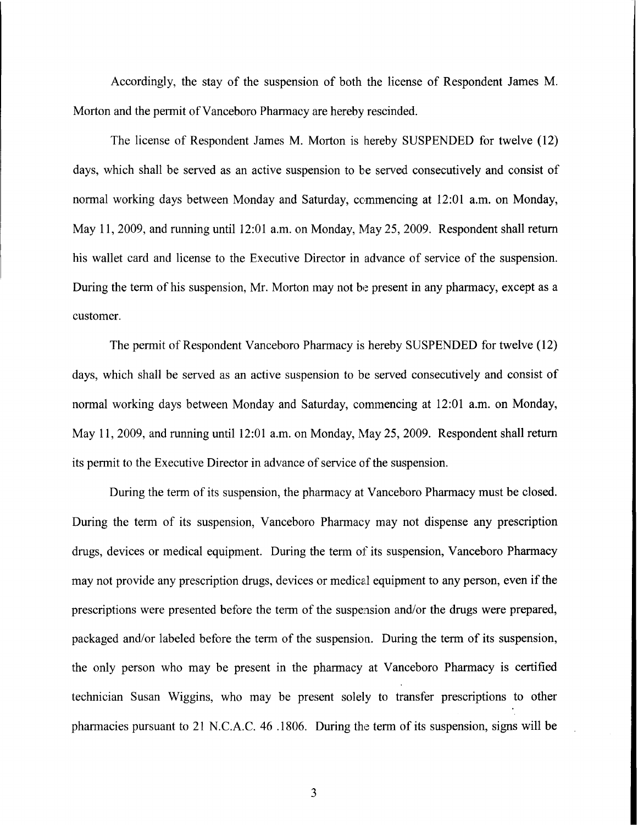Accordingly, the stay of the suspension of both the license of Respondent James M. Morton and the permit of Vanceboro Pharmacy are hereby rescinded.

The license of Respondent James M. Morton is hereby SUSPENDED for twelve (12) days, which shall be served as an active suspension to be served consecutively and consist of normal working days between Monday and Saturday, commencing at 12:01 a.m. on Monday, May 11,2009, and running until 12:01 a.m. on Monday, May 25,2009. Respondent shall return his wallet card and license to the Executive Director in advance of service of the suspension. During the term of his suspension, Mr. Morton may not be present in any pharmacy, except as a customer.

The permit of Respondent Vanceboro Pharmacy is hereby SUSPENDED for twelve (12) days, which shall be served as an active suspension to be served consecutively and consist of normal working days between Monday and Saturday, commencing at 12:01 a.m. on Monday, May 11,2009, and running until 12:01 a.m. on Monday, May 25,2009. Respondent shall return its permit to the Executive Director in advance of service of the suspension.

During the term of its suspension, the pharmacy at Vanceboro Pharmacy must be closed. During the term of its suspension, Vanceboro Pharmacy may not dispense any prescription drugs, devices or medical equipment. During the term of its suspension, Vanceboro Pharmacy may not provide any prescription drugs, devices or medical equipment to any person, even if the prescriptions were presented before the tenn of the suspension and/or the drugs were prepared, packaged and/or labeled before the tenn of the suspension. During the tenn of its suspension, the only person who may be present in the phannacy at Vanceboro Phannacy is certified technician Susan Wiggins, who may be present solely to transfer prescriptions to other pharmacies pursuant to  $21$  N.C.A.C. 46 .1806. During the term of its suspension, signs will be

3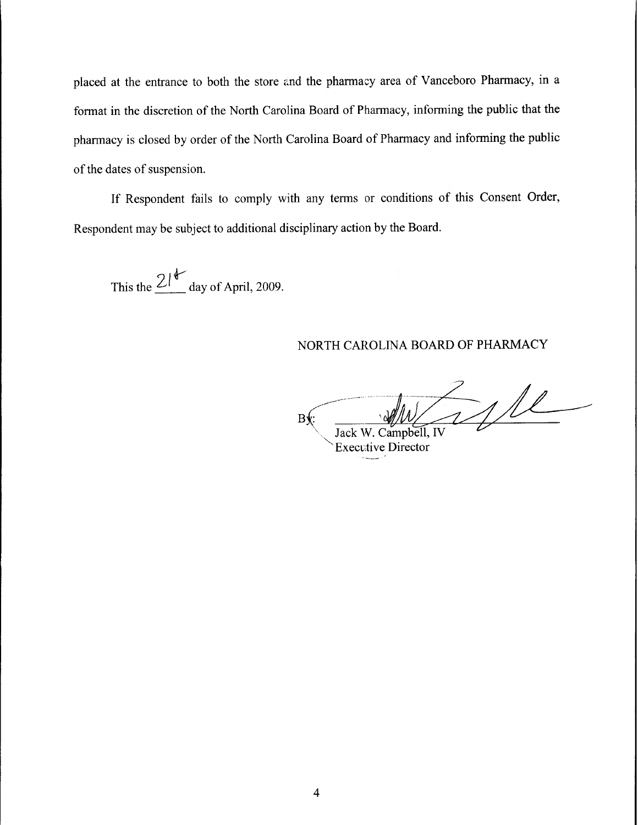placed at the entrance to both the store and the pharmacy area of Vanceboro Pharmacy, in a format in the discretion of the North Carolina Board of Pharmacy, informing the public that the pharmacy is closed by order of the North Carolina Board of Pharmacy and informing the public of the dates of suspension.

If Respondent fails to comply with any terms or conditions of this Consent Order, Respondent may be subject to additional disciplinary action by the Board.

This the  $21^{\mathcal{U}}$  day of April, 2009.

### NORTH CAROLINA BOARD OF PHARMACY

 $B$ f $:=$   $\frac{1}{\sqrt{|\mathcal{N}|}}$   $\frac{1}{\sqrt{|\mathcal{N}|}}$ 

**Executive Director**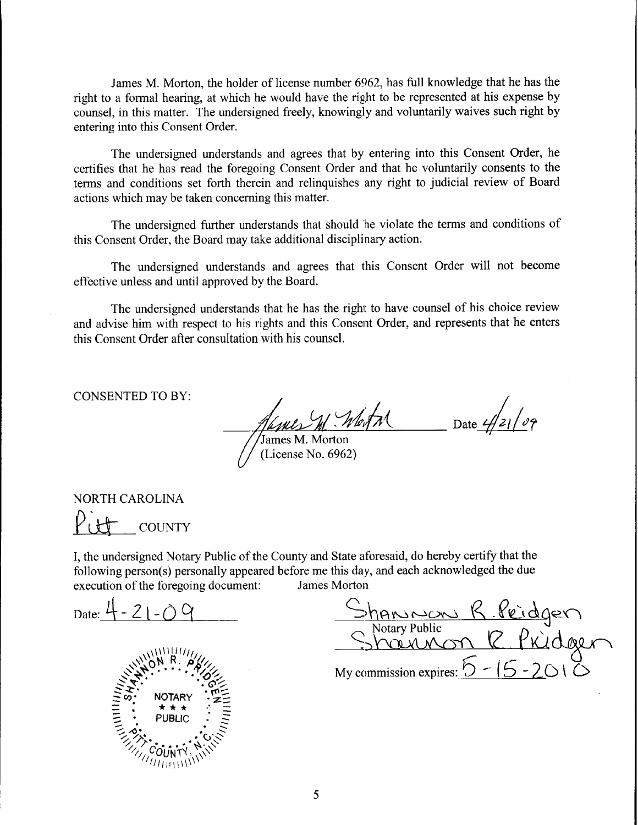James M. Morton, the holder of license number 6962, has full knowledge that he has the right to a formal hearing, at which he would have the right to be represented at his expense by counsel, in this matter. The undersigned freely, knowingly and voluntarily waives such right by entering into this Consent Order.

The undersigned understands and agrees that by entering into this Consent Order, he certifies that he has read the foregoing Consent Order and that he voluntarily consents to the terms and conditions set forth therein and relinquishes any right to judicial review of Board actions which may be taken concerning this matter.

The undersigned further understands that should he violate the terms and conditions of this Consent Order, the Board may take additional disciplinary action.

The undersigned understands and agrees that this Consent Order will not become effective unless and until approved by the Board.

The undersigned understands that he has the right to have counsel of his choice review and advise him with respect to his rights and this Consent Order, and represents that he enters this Consent Order after consultation with his counsel.

CONSENTED TO BY:

Date  $\frac{1}{2}$ James M. Morton

(License No. 6962)

 $P_{U}$  country NORTH CAROLINA

I, the undersigned Notary Public of the County and State aforesaid, do hereby certify that the following person(s) personally appeared before me this day, and each acknowledged the due execution of the foregoing document: James Morton

Date:  $4 - 21 - 0$ 

Shannon R. Pridgen Notary Public<br>Notary Public<br>Note 1 Pkidee Sharmon R Pridgen My commission expires:  $\bigcirc$  -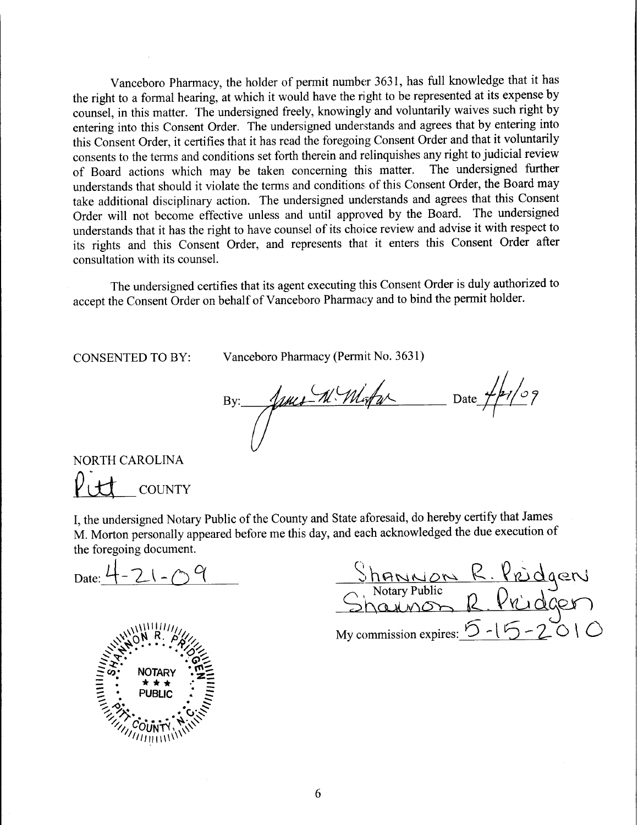Vanceboro Pharmacy, the holder of permit number 3631, has full knowledge that it has the right to a formal hearing, at which it would have the right to be represented at its expense by counsel, in this matter. The undersigned freely, knowingly and voluntarily waives such right by entering into this Consent Order. The undersigned understands and agrees that by entering into this Consent Order, it certifies that it has read the foregoing Consent Order and that it voluntarily consents to the terms and conditions set forth therein and relinquishes any right to judicial review<br>of Board actions which may be taken concerning this matter. The undersigned further of Board actions which may be taken concerning this matter. understands that should it violate the terms and conditions of this Consent Order, the Board may take additional disciplinary action. The undersigned understands and agrees that this Consent Order will not become effective unless and until approved by the Board. The undersigned understands that it has the right to have counsel of its choice review and advise it with respect to its rights and this Consent Order, and represents that it enters this Consent Order after consultation with its counsel.

The undersigned certifies that its agent executing this Consent Order is duly authorized to accept the Consent Order on behalf of Vanceboro Pharmacy and to bind the permit holder.

CONSENTED TO BY:

Vanceboro Pharmacy (Permit No. 3631)<br>By:  $\frac{1}{\sqrt{\frac{1}{N}}}\left(\sqrt{\frac{1}{N}\cdot\frac{1}{N}}\right)$  Date  $\frac{1}{\sqrt{\frac{1}{N}}}\left(\frac{1}{N}\right)$ 

**COUNTY** NORTH CAROLINA  $V_{\perp}$ 

I, the undersigned Notary Public of the County and State aforesaid, do hereby certify that James M. Morton personally appeared before me this day, and each acknowledged the due execution of the foregoing document.

Date:  $4 - 2(-1)$ 



<u>Shanwon R. Pridger</u>  $\frac{\partial}{\partial y}$  Notary Public  $\bigcap_{\alpha \in \mathcal{A}} \mathcal{O}(\alpha)$ Sharinon R. Pridgen My commission expires:  $5 - 15 - 2010$